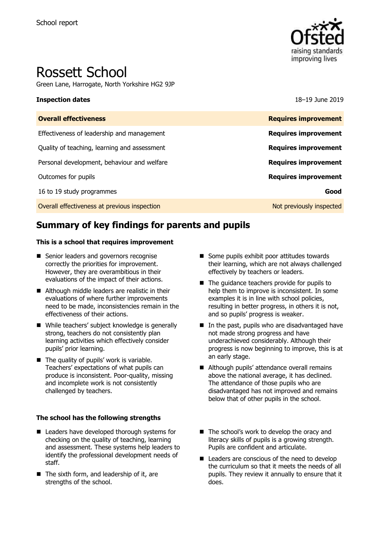

# Rossett School

Green Lane, Harrogate, North Yorkshire HG2 9JP

#### **Inspection dates** 18–19 June 2019

| <b>Overall effectiveness</b>                 | <b>Requires improvement</b> |
|----------------------------------------------|-----------------------------|
| Effectiveness of leadership and management   | <b>Requires improvement</b> |
| Quality of teaching, learning and assessment | <b>Requires improvement</b> |
| Personal development, behaviour and welfare  | <b>Requires improvement</b> |
| Outcomes for pupils                          | <b>Requires improvement</b> |
| 16 to 19 study programmes                    | Good                        |
| Overall effectiveness at previous inspection | Not previously inspected    |
|                                              |                             |

# **Summary of key findings for parents and pupils**

#### **This is a school that requires improvement**

- Senior leaders and governors recognise correctly the priorities for improvement. However, they are overambitious in their evaluations of the impact of their actions.
- Although middle leaders are realistic in their evaluations of where further improvements need to be made, inconsistencies remain in the effectiveness of their actions.
- While teachers' subject knowledge is generally strong, teachers do not consistently plan learning activities which effectively consider pupils' prior learning.
- The quality of pupils' work is variable. Teachers' expectations of what pupils can produce is inconsistent. Poor-quality, missing and incomplete work is not consistently challenged by teachers.

#### **The school has the following strengths**

- Leaders have developed thorough systems for checking on the quality of teaching, learning and assessment. These systems help leaders to identify the professional development needs of staff.
- The sixth form, and leadership of it, are strengths of the school.
- Some pupils exhibit poor attitudes towards their learning, which are not always challenged effectively by teachers or leaders.
- The quidance teachers provide for pupils to help them to improve is inconsistent. In some examples it is in line with school policies, resulting in better progress, in others it is not, and so pupils' progress is weaker.
- In the past, pupils who are disadvantaged have not made strong progress and have underachieved considerably. Although their progress is now beginning to improve, this is at an early stage.
- Although pupils' attendance overall remains above the national average, it has declined. The attendance of those pupils who are disadvantaged has not improved and remains below that of other pupils in the school.
- The school's work to develop the oracy and literacy skills of pupils is a growing strength. Pupils are confident and articulate.
- Leaders are conscious of the need to develop the curriculum so that it meets the needs of all pupils. They review it annually to ensure that it does.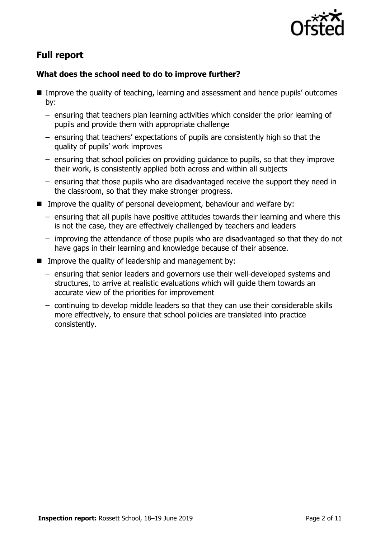

# **Full report**

### **What does the school need to do to improve further?**

- Improve the quality of teaching, learning and assessment and hence pupils' outcomes by:
	- ensuring that teachers plan learning activities which consider the prior learning of pupils and provide them with appropriate challenge
	- ensuring that teachers' expectations of pupils are consistently high so that the quality of pupils' work improves
	- ensuring that school policies on providing guidance to pupils, so that they improve their work, is consistently applied both across and within all subjects
	- ensuring that those pupils who are disadvantaged receive the support they need in the classroom, so that they make stronger progress.
- **IMPROVE THE GUALARY OF PERSONAL DEVELOPMENT** behaviour and welfare by:
	- ensuring that all pupils have positive attitudes towards their learning and where this is not the case, they are effectively challenged by teachers and leaders
	- improving the attendance of those pupils who are disadvantaged so that they do not have gaps in their learning and knowledge because of their absence.
- **IMPROVE the quality of leadership and management by:** 
	- ensuring that senior leaders and governors use their well-developed systems and structures, to arrive at realistic evaluations which will guide them towards an accurate view of the priorities for improvement
	- continuing to develop middle leaders so that they can use their considerable skills more effectively, to ensure that school policies are translated into practice consistently.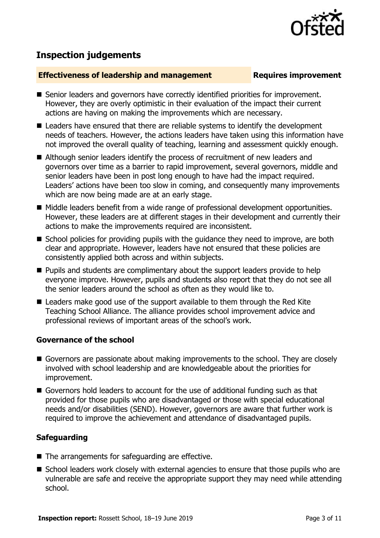# **Inspection judgements**

### **Effectiveness of leadership and management Requires improvement**

- Senior leaders and governors have correctly identified priorities for improvement. However, they are overly optimistic in their evaluation of the impact their current actions are having on making the improvements which are necessary.
- Leaders have ensured that there are reliable systems to identify the development needs of teachers. However, the actions leaders have taken using this information have not improved the overall quality of teaching, learning and assessment quickly enough.
- Although senior leaders identify the process of recruitment of new leaders and governors over time as a barrier to rapid improvement, several governors, middle and senior leaders have been in post long enough to have had the impact required. Leaders' actions have been too slow in coming, and consequently many improvements which are now being made are at an early stage.
- Middle leaders benefit from a wide range of professional development opportunities. However, these leaders are at different stages in their development and currently their actions to make the improvements required are inconsistent.
- School policies for providing pupils with the quidance they need to improve, are both clear and appropriate. However, leaders have not ensured that these policies are consistently applied both across and within subjects.
- **Pupils and students are complimentary about the support leaders provide to help** everyone improve. However, pupils and students also report that they do not see all the senior leaders around the school as often as they would like to.
- Leaders make good use of the support available to them through the Red Kite Teaching School Alliance. The alliance provides school improvement advice and professional reviews of important areas of the school's work.

### **Governance of the school**

- Governors are passionate about making improvements to the school. They are closely involved with school leadership and are knowledgeable about the priorities for improvement.
- Governors hold leaders to account for the use of additional funding such as that provided for those pupils who are disadvantaged or those with special educational needs and/or disabilities (SEND). However, governors are aware that further work is required to improve the achievement and attendance of disadvantaged pupils.

# **Safeguarding**

- $\blacksquare$  The arrangements for safeguarding are effective.
- School leaders work closely with external agencies to ensure that those pupils who are vulnerable are safe and receive the appropriate support they may need while attending school.

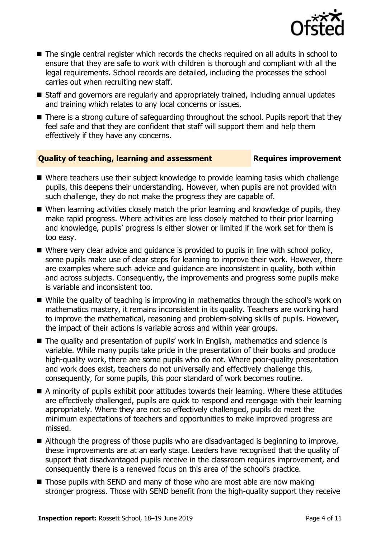

- The single central register which records the checks reguired on all adults in school to ensure that they are safe to work with children is thorough and compliant with all the legal requirements. School records are detailed, including the processes the school carries out when recruiting new staff.
- Staff and governors are regularly and appropriately trained, including annual updates and training which relates to any local concerns or issues.
- There is a strong culture of safeguarding throughout the school. Pupils report that they feel safe and that they are confident that staff will support them and help them effectively if they have any concerns.

#### **Quality of teaching, learning and assessment Requires improvement**

- Where teachers use their subject knowledge to provide learning tasks which challenge pupils, this deepens their understanding. However, when pupils are not provided with such challenge, they do not make the progress they are capable of.
- When learning activities closely match the prior learning and knowledge of pupils, they make rapid progress. Where activities are less closely matched to their prior learning and knowledge, pupils' progress is either slower or limited if the work set for them is too easy.
- Where very clear advice and quidance is provided to pupils in line with school policy, some pupils make use of clear steps for learning to improve their work. However, there are examples where such advice and guidance are inconsistent in quality, both within and across subjects. Consequently, the improvements and progress some pupils make is variable and inconsistent too.
- While the quality of teaching is improving in mathematics through the school's work on mathematics mastery, it remains inconsistent in its quality. Teachers are working hard to improve the mathematical, reasoning and problem-solving skills of pupils. However, the impact of their actions is variable across and within year groups.
- The quality and presentation of pupils' work in English, mathematics and science is variable. While many pupils take pride in the presentation of their books and produce high-quality work, there are some pupils who do not. Where poor-quality presentation and work does exist, teachers do not universally and effectively challenge this, consequently, for some pupils, this poor standard of work becomes routine.
- A minority of pupils exhibit poor attitudes towards their learning. Where these attitudes are effectively challenged, pupils are quick to respond and reengage with their learning appropriately. Where they are not so effectively challenged, pupils do meet the minimum expectations of teachers and opportunities to make improved progress are missed.
- Although the progress of those pupils who are disadvantaged is beginning to improve, these improvements are at an early stage. Leaders have recognised that the quality of support that disadvantaged pupils receive in the classroom requires improvement, and consequently there is a renewed focus on this area of the school's practice.
- $\blacksquare$  Those pupils with SEND and many of those who are most able are now making stronger progress. Those with SEND benefit from the high-quality support they receive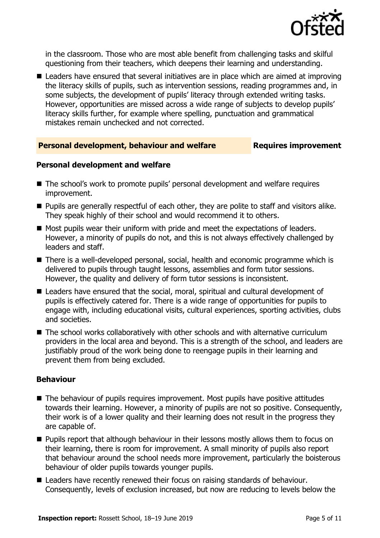

in the classroom. Those who are most able benefit from challenging tasks and skilful questioning from their teachers, which deepens their learning and understanding.

■ Leaders have ensured that several initiatives are in place which are aimed at improving the literacy skills of pupils, such as intervention sessions, reading programmes and, in some subjects, the development of pupils' literacy through extended writing tasks. However, opportunities are missed across a wide range of subjects to develop pupils' literacy skills further, for example where spelling, punctuation and grammatical mistakes remain unchecked and not corrected.

#### **Personal development, behaviour and welfare <b>Requires improvement**

#### **Personal development and welfare**

- The school's work to promote pupils' personal development and welfare requires improvement.
- **Pupils are generally respectful of each other, they are polite to staff and visitors alike.** They speak highly of their school and would recommend it to others.
- Most pupils wear their uniform with pride and meet the expectations of leaders. However, a minority of pupils do not, and this is not always effectively challenged by leaders and staff.
- There is a well-developed personal, social, health and economic programme which is delivered to pupils through taught lessons, assemblies and form tutor sessions. However, the quality and delivery of form tutor sessions is inconsistent.
- Leaders have ensured that the social, moral, spiritual and cultural development of pupils is effectively catered for. There is a wide range of opportunities for pupils to engage with, including educational visits, cultural experiences, sporting activities, clubs and societies.
- The school works collaboratively with other schools and with alternative curriculum providers in the local area and beyond. This is a strength of the school, and leaders are justifiably proud of the work being done to reengage pupils in their learning and prevent them from being excluded.

### **Behaviour**

- The behaviour of pupils requires improvement. Most pupils have positive attitudes towards their learning. However, a minority of pupils are not so positive. Consequently, their work is of a lower quality and their learning does not result in the progress they are capable of.
- **Pupils report that although behaviour in their lessons mostly allows them to focus on** their learning, there is room for improvement. A small minority of pupils also report that behaviour around the school needs more improvement, particularly the boisterous behaviour of older pupils towards younger pupils.
- Leaders have recently renewed their focus on raising standards of behaviour. Consequently, levels of exclusion increased, but now are reducing to levels below the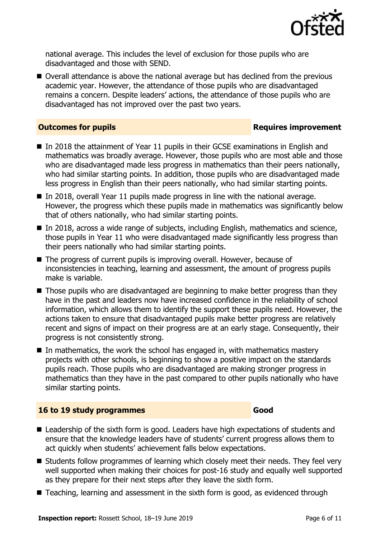

national average. This includes the level of exclusion for those pupils who are disadvantaged and those with SEND.

■ Overall attendance is above the national average but has declined from the previous academic year. However, the attendance of those pupils who are disadvantaged remains a concern. Despite leaders' actions, the attendance of those pupils who are disadvantaged has not improved over the past two years.

#### **Outcomes for pupils Requires improvement**

- In 2018 the attainment of Year 11 pupils in their GCSE examinations in English and mathematics was broadly average. However, those pupils who are most able and those who are disadvantaged made less progress in mathematics than their peers nationally, who had similar starting points. In addition, those pupils who are disadvantaged made less progress in English than their peers nationally, who had similar starting points.
- In 2018, overall Year 11 pupils made progress in line with the national average. However, the progress which these pupils made in mathematics was significantly below that of others nationally, who had similar starting points.
- In 2018, across a wide range of subjects, including English, mathematics and science, those pupils in Year 11 who were disadvantaged made significantly less progress than their peers nationally who had similar starting points.
- The progress of current pupils is improving overall. However, because of inconsistencies in teaching, learning and assessment, the amount of progress pupils make is variable.
- Those pupils who are disadvantaged are beginning to make better progress than they have in the past and leaders now have increased confidence in the reliability of school information, which allows them to identify the support these pupils need. However, the actions taken to ensure that disadvantaged pupils make better progress are relatively recent and signs of impact on their progress are at an early stage. Consequently, their progress is not consistently strong.
- In mathematics, the work the school has engaged in, with mathematics mastery projects with other schools, is beginning to show a positive impact on the standards pupils reach. Those pupils who are disadvantaged are making stronger progress in mathematics than they have in the past compared to other pupils nationally who have similar starting points.

### **16 to 19 study programmes Good**

- Leadership of the sixth form is good. Leaders have high expectations of students and ensure that the knowledge leaders have of students' current progress allows them to act quickly when students' achievement falls below expectations.
- Students follow programmes of learning which closely meet their needs. They feel very well supported when making their choices for post-16 study and equally well supported as they prepare for their next steps after they leave the sixth form.
- Teaching, learning and assessment in the sixth form is good, as evidenced through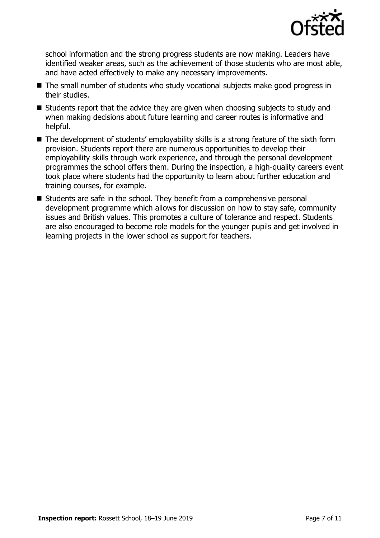

school information and the strong progress students are now making. Leaders have identified weaker areas, such as the achievement of those students who are most able, and have acted effectively to make any necessary improvements.

- The small number of students who study vocational subjects make good progress in their studies.
- Students report that the advice they are given when choosing subjects to study and when making decisions about future learning and career routes is informative and helpful.
- The development of students' employability skills is a strong feature of the sixth form provision. Students report there are numerous opportunities to develop their employability skills through work experience, and through the personal development programmes the school offers them. During the inspection, a high-quality careers event took place where students had the opportunity to learn about further education and training courses, for example.
- Students are safe in the school. They benefit from a comprehensive personal development programme which allows for discussion on how to stay safe, community issues and British values. This promotes a culture of tolerance and respect. Students are also encouraged to become role models for the younger pupils and get involved in learning projects in the lower school as support for teachers.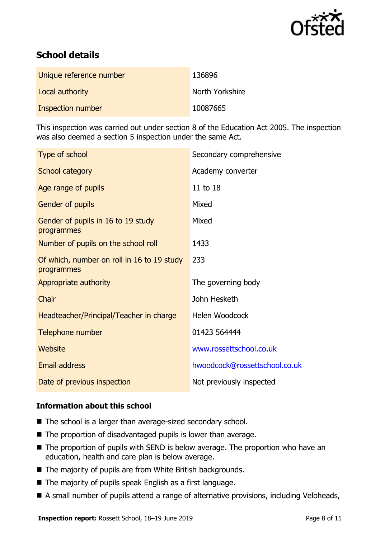

# **School details**

| Unique reference number | 136896          |
|-------------------------|-----------------|
| Local authority         | North Yorkshire |
| Inspection number       | 10087665        |

This inspection was carried out under section 8 of the Education Act 2005. The inspection was also deemed a section 5 inspection under the same Act.

| Type of school                                           | Secondary comprehensive       |
|----------------------------------------------------------|-------------------------------|
| School category                                          | Academy converter             |
| Age range of pupils                                      | 11 to 18                      |
| Gender of pupils                                         | Mixed                         |
| Gender of pupils in 16 to 19 study<br>programmes         | Mixed                         |
| Number of pupils on the school roll                      | 1433                          |
| Of which, number on roll in 16 to 19 study<br>programmes | 233                           |
| Appropriate authority                                    | The governing body            |
| Chair                                                    | John Hesketh                  |
| Headteacher/Principal/Teacher in charge                  | Helen Woodcock                |
| Telephone number                                         | 01423 564444                  |
| Website                                                  | www.rossettschool.co.uk       |
| <b>Email address</b>                                     | hwoodcock@rossettschool.co.uk |
| Date of previous inspection                              | Not previously inspected      |

### **Information about this school**

- The school is a larger than average-sized secondary school.
- The proportion of disadvantaged pupils is lower than average.
- The proportion of pupils with SEND is below average. The proportion who have an education, health and care plan is below average.
- The majority of pupils are from White British backgrounds.
- The majority of pupils speak English as a first language.
- A small number of pupils attend a range of alternative provisions, including Veloheads,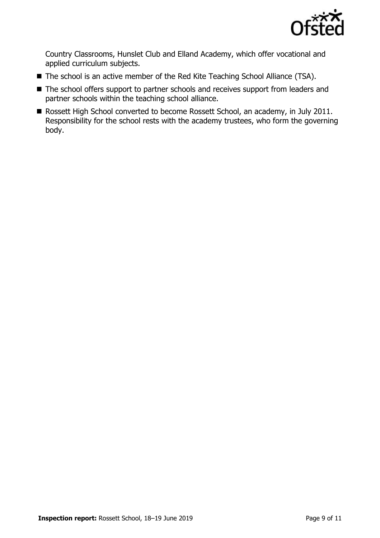

Country Classrooms, Hunslet Club and Elland Academy, which offer vocational and applied curriculum subjects.

- The school is an active member of the Red Kite Teaching School Alliance (TSA).
- The school offers support to partner schools and receives support from leaders and partner schools within the teaching school alliance.
- Rossett High School converted to become Rossett School, an academy, in July 2011. Responsibility for the school rests with the academy trustees, who form the governing body.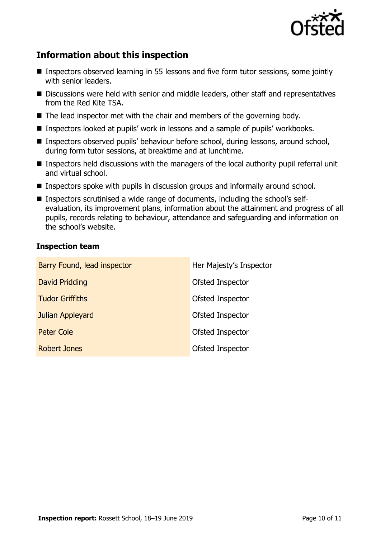

# **Information about this inspection**

- Inspectors observed learning in 55 lessons and five form tutor sessions, some jointly with senior leaders.
- Discussions were held with senior and middle leaders, other staff and representatives from the Red Kite TSA.
- $\blacksquare$  The lead inspector met with the chair and members of the governing body.
- Inspectors looked at pupils' work in lessons and a sample of pupils' workbooks.
- Inspectors observed pupils' behaviour before school, during lessons, around school, during form tutor sessions, at breaktime and at lunchtime.
- Inspectors held discussions with the managers of the local authority pupil referral unit and virtual school.
- Inspectors spoke with pupils in discussion groups and informally around school.
- Inspectors scrutinised a wide range of documents, including the school's selfevaluation, its improvement plans, information about the attainment and progress of all pupils, records relating to behaviour, attendance and safeguarding and information on the school's website.

#### **Inspection team**

| Barry Found, lead inspector | Her Majesty's Inspector |
|-----------------------------|-------------------------|
| David Pridding              | Ofsted Inspector        |
| <b>Tudor Griffiths</b>      | Ofsted Inspector        |
| Julian Appleyard            | Ofsted Inspector        |
| Peter Cole                  | Ofsted Inspector        |
| <b>Robert Jones</b>         | Ofsted Inspector        |